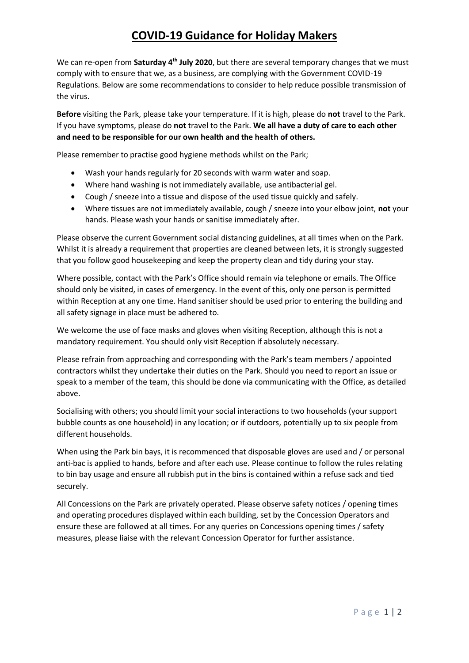## **COVID-19 Guidance for Holiday Makers**

We can re-open from **Saturday 4th July 2020**, but there are several temporary changes that we must comply with to ensure that we, as a business, are complying with the Government COVID-19 Regulations. Below are some recommendations to consider to help reduce possible transmission of the virus.

**Before** visiting the Park, please take your temperature. If it is high, please do **not** travel to the Park. If you have symptoms, please do **not** travel to the Park. **We all have a duty of care to each other and need to be responsible for our own health and the health of others.**

Please remember to practise good hygiene methods whilst on the Park;

- Wash your hands regularly for 20 seconds with warm water and soap.
- Where hand washing is not immediately available, use antibacterial gel.
- Cough / sneeze into a tissue and dispose of the used tissue quickly and safely.
- Where tissues are not immediately available, cough / sneeze into your elbow joint, **not** your hands. Please wash your hands or sanitise immediately after.

Please observe the current Government social distancing guidelines, at all times when on the Park. Whilst it is already a requirement that properties are cleaned between lets, it is strongly suggested that you follow good housekeeping and keep the property clean and tidy during your stay.

Where possible, contact with the Park's Office should remain via telephone or emails. The Office should only be visited, in cases of emergency. In the event of this, only one person is permitted within Reception at any one time. Hand sanitiser should be used prior to entering the building and all safety signage in place must be adhered to.

We welcome the use of face masks and gloves when visiting Reception, although this is not a mandatory requirement. You should only visit Reception if absolutely necessary.

Please refrain from approaching and corresponding with the Park's team members / appointed contractors whilst they undertake their duties on the Park. Should you need to report an issue or speak to a member of the team, this should be done via communicating with the Office, as detailed above.

Socialising with others; you should limit your social interactions to two households (your support bubble counts as one household) in any location; or if outdoors, potentially up to six people from different households.

When using the Park bin bays, it is recommenced that disposable gloves are used and / or personal anti-bac is applied to hands, before and after each use. Please continue to follow the rules relating to bin bay usage and ensure all rubbish put in the bins is contained within a refuse sack and tied securely.

All Concessions on the Park are privately operated. Please observe safety notices / opening times and operating procedures displayed within each building, set by the Concession Operators and ensure these are followed at all times. For any queries on Concessions opening times / safety measures, please liaise with the relevant Concession Operator for further assistance.